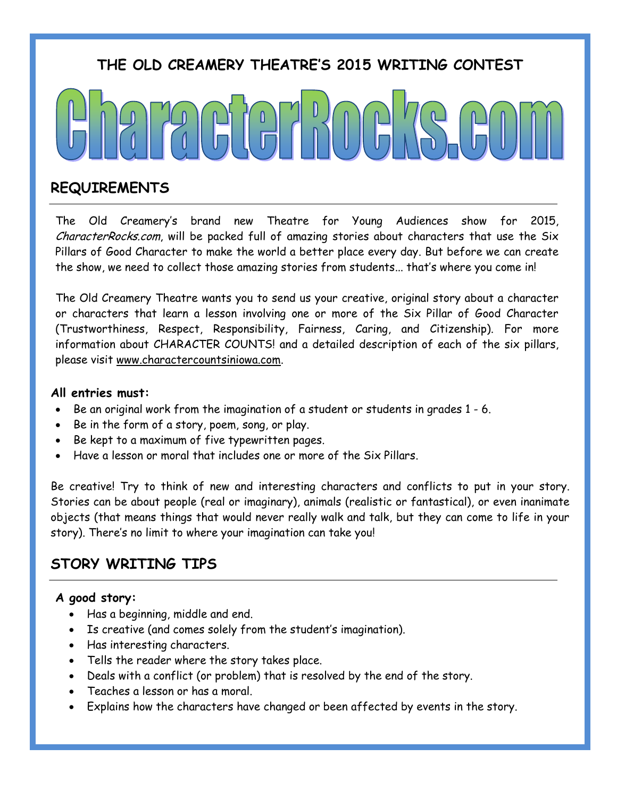# **THE OLD CREAMERY THEATRE'S 2015 WRITING CONTEST**

## **REQUIREMENTS**

The Old Creamery's brand new Theatre for Young Audiences show for 2015, CharacterRocks.com, will be packed full of amazing stories about characters that use the Six Pillars of Good Character to make the world a better place every day. But before we can create the show, we need to collect those amazing stories from students... that's where you come in!

The Old Creamery Theatre wants you to send us your creative, original story about a character or characters that learn a lesson involving one or more of the Six Pillar of Good Character (Trustworthiness, Respect, Responsibility, Fairness, Caring, and Citizenship). For more information about CHARACTER COUNTS! and a detailed description of each of the six pillars, please visit www.charactercountsiniowa.com.

#### **All entries must:**

- Be an original work from the imagination of a student or students in grades 1 6.
- Be in the form of a story, poem, song, or play.
- Be kept to a maximum of five typewritten pages.
- Have a lesson or moral that includes one or more of the Six Pillars.

Be creative! Try to think of new and interesting characters and conflicts to put in your story. Stories can be about people (real or imaginary), animals (realistic or fantastical), or even inanimate objects (that means things that would never really walk and talk, but they can come to life in your story). There's no limit to where your imagination can take you!

## **STORY WRITING TIPS**

### **A good story:**

- Has a beginning, middle and end.
- Is creative (and comes solely from the student's imagination).
- Has interesting characters.
- Tells the reader where the story takes place.
- Deals with a conflict (or problem) that is resolved by the end of the story.
- Teaches a lesson or has a moral.
- Explains how the characters have changed or been affected by events in the story.